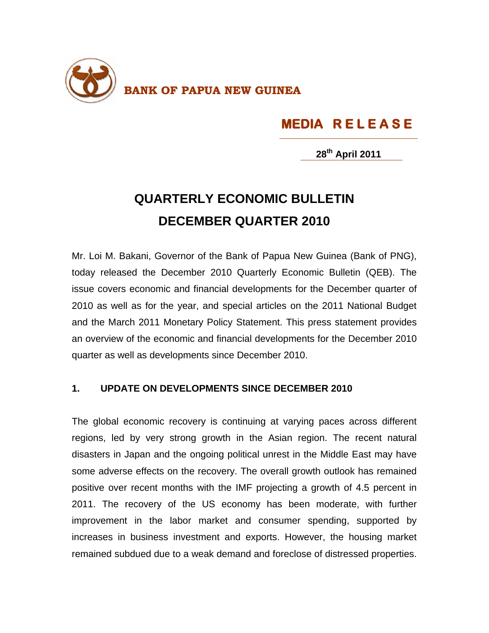

## **MEDIA R E L E A S E**

**28th April 2011**

## **QUARTERLY ECONOMIC BULLETIN DECEMBER QUARTER 2010**

Mr. Loi M. Bakani, Governor of the Bank of Papua New Guinea (Bank of PNG), today released the December 2010 Quarterly Economic Bulletin (QEB). The issue covers economic and financial developments for the December quarter of 2010 as well as for the year, and special articles on the 2011 National Budget and the March 2011 Monetary Policy Statement. This press statement provides an overview of the economic and financial developments for the December 2010 quarter as well as developments since December 2010.

## **1. UPDATE ON DEVELOPMENTS SINCE DECEMBER 2010**

The global economic recovery is continuing at varying paces across different regions, led by very strong growth in the Asian region. The recent natural disasters in Japan and the ongoing political unrest in the Middle East may have some adverse effects on the recovery. The overall growth outlook has remained positive over recent months with the IMF projecting a growth of 4.5 percent in 2011. The recovery of the US economy has been moderate, with further improvement in the labor market and consumer spending, supported by increases in business investment and exports. However, the housing market remained subdued due to a weak demand and foreclose of distressed properties.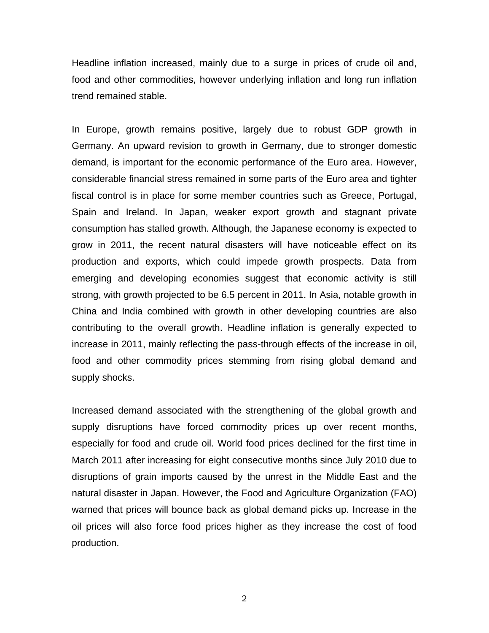Headline inflation increased, mainly due to a surge in prices of crude oil and, food and other commodities, however underlying inflation and long run inflation trend remained stable.

In Europe, growth remains positive, largely due to robust GDP growth in Germany. An upward revision to growth in Germany, due to stronger domestic demand, is important for the economic performance of the Euro area. However, considerable financial stress remained in some parts of the Euro area and tighter fiscal control is in place for some member countries such as Greece, Portugal, Spain and Ireland. In Japan, weaker export growth and stagnant private consumption has stalled growth. Although, the Japanese economy is expected to grow in 2011, the recent natural disasters will have noticeable effect on its production and exports, which could impede growth prospects. Data from emerging and developing economies suggest that economic activity is still strong, with growth projected to be 6.5 percent in 2011. In Asia, notable growth in China and India combined with growth in other developing countries are also contributing to the overall growth. Headline inflation is generally expected to increase in 2011, mainly reflecting the pass-through effects of the increase in oil, food and other commodity prices stemming from rising global demand and supply shocks.

Increased demand associated with the strengthening of the global growth and supply disruptions have forced commodity prices up over recent months, especially for food and crude oil. World food prices declined for the first time in March 2011 after increasing for eight consecutive months since July 2010 due to disruptions of grain imports caused by the unrest in the Middle East and the natural disaster in Japan. However, the Food and Agriculture Organization (FAO) warned that prices will bounce back as global demand picks up. Increase in the oil prices will also force food prices higher as they increase the cost of food production.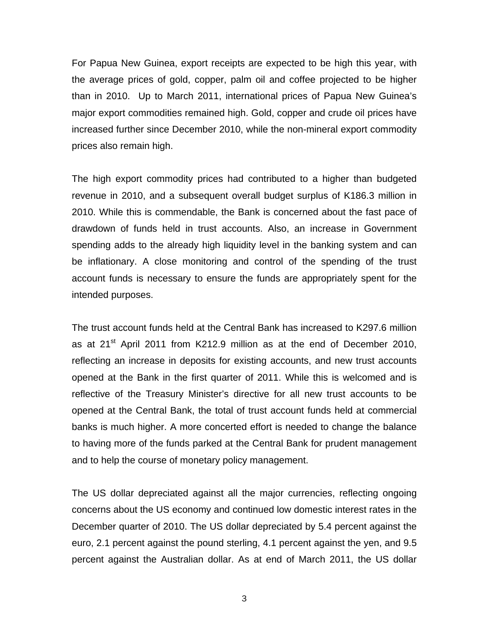For Papua New Guinea, export receipts are expected to be high this year, with the average prices of gold, copper, palm oil and coffee projected to be higher than in 2010. Up to March 2011, international prices of Papua New Guinea's major export commodities remained high. Gold, copper and crude oil prices have increased further since December 2010, while the non-mineral export commodity prices also remain high.

The high export commodity prices had contributed to a higher than budgeted revenue in 2010, and a subsequent overall budget surplus of K186.3 million in 2010. While this is commendable, the Bank is concerned about the fast pace of drawdown of funds held in trust accounts. Also, an increase in Government spending adds to the already high liquidity level in the banking system and can be inflationary. A close monitoring and control of the spending of the trust account funds is necessary to ensure the funds are appropriately spent for the intended purposes.

The trust account funds held at the Central Bank has increased to K297.6 million as at  $21^{st}$  April 2011 from K212.9 million as at the end of December 2010, reflecting an increase in deposits for existing accounts, and new trust accounts opened at the Bank in the first quarter of 2011. While this is welcomed and is reflective of the Treasury Minister's directive for all new trust accounts to be opened at the Central Bank, the total of trust account funds held at commercial banks is much higher. A more concerted effort is needed to change the balance to having more of the funds parked at the Central Bank for prudent management and to help the course of monetary policy management.

The US dollar depreciated against all the major currencies, reflecting ongoing concerns about the US economy and continued low domestic interest rates in the December quarter of 2010. The US dollar depreciated by 5.4 percent against the euro, 2.1 percent against the pound sterling, 4.1 percent against the yen, and 9.5 percent against the Australian dollar. As at end of March 2011, the US dollar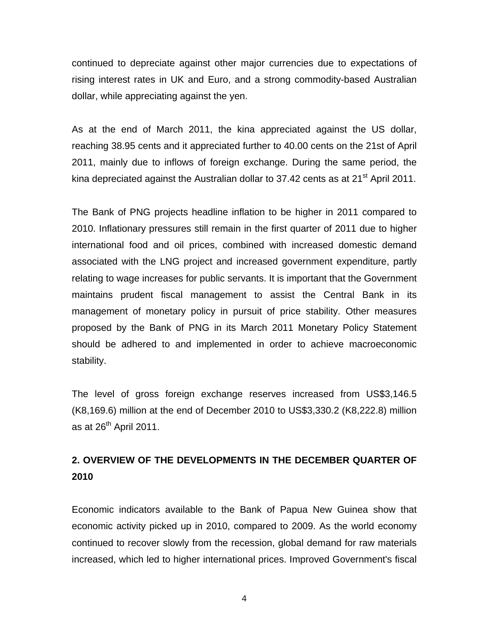continued to depreciate against other major currencies due to expectations of rising interest rates in UK and Euro, and a strong commodity-based Australian dollar, while appreciating against the yen.

As at the end of March 2011, the kina appreciated against the US dollar, reaching 38.95 cents and it appreciated further to 40.00 cents on the 21st of April 2011, mainly due to inflows of foreign exchange. During the same period, the kina depreciated against the Australian dollar to 37.42 cents as at 21 $^{\rm st}$  April 2011.

The Bank of PNG projects headline inflation to be higher in 2011 compared to 2010. Inflationary pressures still remain in the first quarter of 2011 due to higher international food and oil prices, combined with increased domestic demand associated with the LNG project and increased government expenditure, partly relating to wage increases for public servants. It is important that the Government maintains prudent fiscal management to assist the Central Bank in its management of monetary policy in pursuit of price stability. Other measures proposed by the Bank of PNG in its March 2011 Monetary Policy Statement should be adhered to and implemented in order to achieve macroeconomic stability.

The level of gross foreign exchange reserves increased from US\$3,146.5 (K8,169.6) million at the end of December 2010 to US\$3,330.2 (K8,222.8) million as at  $26<sup>th</sup>$  April 2011.

## **2. OVERVIEW OF THE DEVELOPMENTS IN THE DECEMBER QUARTER OF 2010**

Economic indicators available to the Bank of Papua New Guinea show that economic activity picked up in 2010, compared to 2009. As the world economy continued to recover slowly from the recession, global demand for raw materials increased, which led to higher international prices. Improved Government's fiscal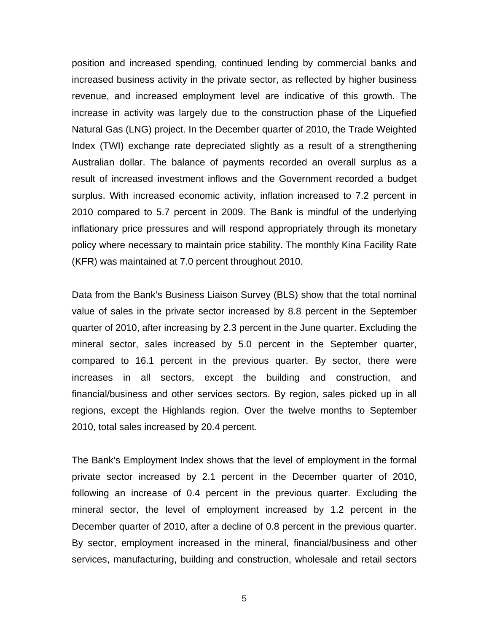position and increased spending, continued lending by commercial banks and increased business activity in the private sector, as reflected by higher business revenue, and increased employment level are indicative of this growth. The increase in activity was largely due to the construction phase of the Liquefied Natural Gas (LNG) project. In the December quarter of 2010, the Trade Weighted Index (TWI) exchange rate depreciated slightly as a result of a strengthening Australian dollar. The balance of payments recorded an overall surplus as a result of increased investment inflows and the Government recorded a budget surplus. With increased economic activity, inflation increased to 7.2 percent in 2010 compared to 5.7 percent in 2009. The Bank is mindful of the underlying inflationary price pressures and will respond appropriately through its monetary policy where necessary to maintain price stability. The monthly Kina Facility Rate (KFR) was maintained at 7.0 percent throughout 2010.

Data from the Bank's Business Liaison Survey (BLS) show that the total nominal value of sales in the private sector increased by 8.8 percent in the September quarter of 2010, after increasing by 2.3 percent in the June quarter. Excluding the mineral sector, sales increased by 5.0 percent in the September quarter, compared to 16.1 percent in the previous quarter. By sector, there were increases in all sectors, except the building and construction, and financial/business and other services sectors. By region, sales picked up in all regions, except the Highlands region. Over the twelve months to September 2010, total sales increased by 20.4 percent.

The Bank's Employment Index shows that the level of employment in the formal private sector increased by 2.1 percent in the December quarter of 2010, following an increase of 0.4 percent in the previous quarter. Excluding the mineral sector, the level of employment increased by 1.2 percent in the December quarter of 2010, after a decline of 0.8 percent in the previous quarter. By sector, employment increased in the mineral, financial/business and other services, manufacturing, building and construction, wholesale and retail sectors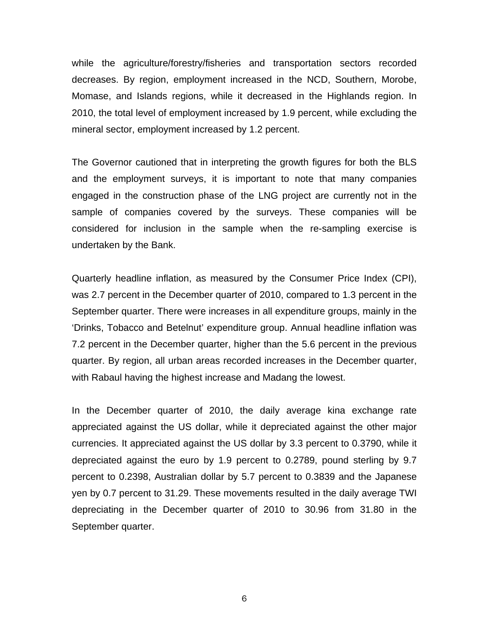while the agriculture/forestry/fisheries and transportation sectors recorded decreases. By region, employment increased in the NCD, Southern, Morobe, Momase, and Islands regions, while it decreased in the Highlands region. In 2010, the total level of employment increased by 1.9 percent, while excluding the mineral sector, employment increased by 1.2 percent.

The Governor cautioned that in interpreting the growth figures for both the BLS and the employment surveys, it is important to note that many companies engaged in the construction phase of the LNG project are currently not in the sample of companies covered by the surveys. These companies will be considered for inclusion in the sample when the re-sampling exercise is undertaken by the Bank.

Quarterly headline inflation, as measured by the Consumer Price Index (CPI), was 2.7 percent in the December quarter of 2010, compared to 1.3 percent in the September quarter. There were increases in all expenditure groups, mainly in the 'Drinks, Tobacco and Betelnut' expenditure group. Annual headline inflation was 7.2 percent in the December quarter, higher than the 5.6 percent in the previous quarter. By region, all urban areas recorded increases in the December quarter, with Rabaul having the highest increase and Madang the lowest.

In the December quarter of 2010, the daily average kina exchange rate appreciated against the US dollar, while it depreciated against the other major currencies. It appreciated against the US dollar by 3.3 percent to 0.3790, while it depreciated against the euro by 1.9 percent to 0.2789, pound sterling by 9.7 percent to 0.2398, Australian dollar by 5.7 percent to 0.3839 and the Japanese yen by 0.7 percent to 31.29. These movements resulted in the daily average TWI depreciating in the December quarter of 2010 to 30.96 from 31.80 in the September quarter.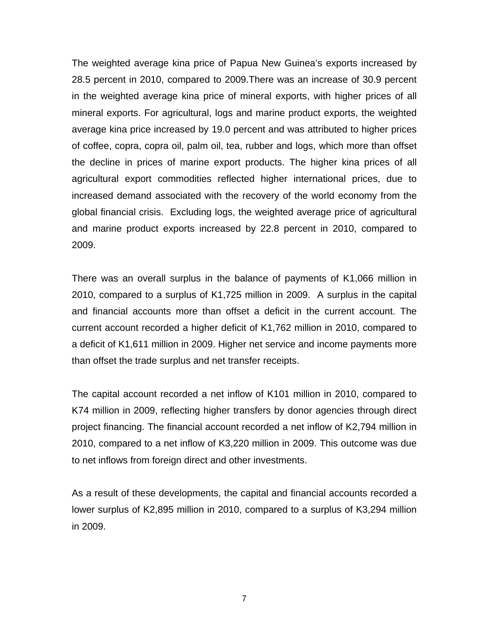The weighted average kina price of Papua New Guinea's exports increased by 28.5 percent in 2010, compared to 2009.There was an increase of 30.9 percent in the weighted average kina price of mineral exports, with higher prices of all mineral exports. For agricultural, logs and marine product exports, the weighted average kina price increased by 19.0 percent and was attributed to higher prices of coffee, copra, copra oil, palm oil, tea, rubber and logs, which more than offset the decline in prices of marine export products. The higher kina prices of all agricultural export commodities reflected higher international prices, due to increased demand associated with the recovery of the world economy from the global financial crisis. Excluding logs, the weighted average price of agricultural and marine product exports increased by 22.8 percent in 2010, compared to 2009.

There was an overall surplus in the balance of payments of K1,066 million in 2010, compared to a surplus of K1,725 million in 2009. A surplus in the capital and financial accounts more than offset a deficit in the current account. The current account recorded a higher deficit of K1,762 million in 2010, compared to a deficit of K1,611 million in 2009. Higher net service and income payments more than offset the trade surplus and net transfer receipts.

The capital account recorded a net inflow of K101 million in 2010, compared to K74 million in 2009, reflecting higher transfers by donor agencies through direct project financing. The financial account recorded a net inflow of K2,794 million in 2010, compared to a net inflow of K3,220 million in 2009. This outcome was due to net inflows from foreign direct and other investments.

As a result of these developments, the capital and financial accounts recorded a lower surplus of K2,895 million in 2010, compared to a surplus of K3,294 million in 2009.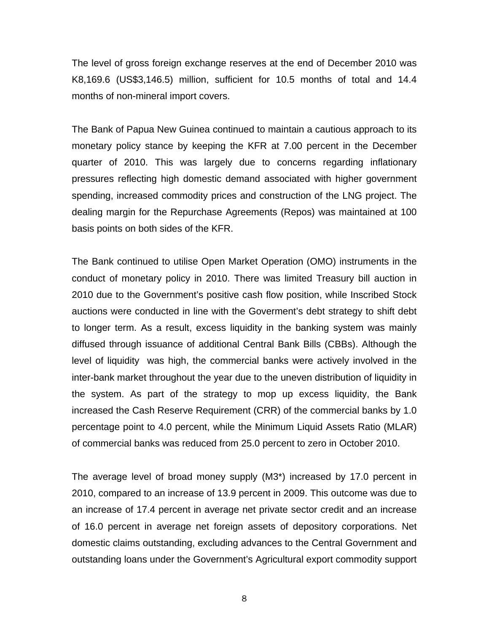The level of gross foreign exchange reserves at the end of December 2010 was K8,169.6 (US\$3,146.5) million, sufficient for 10.5 months of total and 14.4 months of non-mineral import covers.

The Bank of Papua New Guinea continued to maintain a cautious approach to its monetary policy stance by keeping the KFR at 7.00 percent in the December quarter of 2010. This was largely due to concerns regarding inflationary pressures reflecting high domestic demand associated with higher government spending, increased commodity prices and construction of the LNG project. The dealing margin for the Repurchase Agreements (Repos) was maintained at 100 basis points on both sides of the KFR.

The Bank continued to utilise Open Market Operation (OMO) instruments in the conduct of monetary policy in 2010. There was limited Treasury bill auction in 2010 due to the Government's positive cash flow position, while Inscribed Stock auctions were conducted in line with the Goverment's debt strategy to shift debt to longer term. As a result, excess liquidity in the banking system was mainly diffused through issuance of additional Central Bank Bills (CBBs). Although the level of liquidity was high, the commercial banks were actively involved in the inter-bank market throughout the year due to the uneven distribution of liquidity in the system. As part of the strategy to mop up excess liquidity, the Bank increased the Cash Reserve Requirement (CRR) of the commercial banks by 1.0 percentage point to 4.0 percent, while the Minimum Liquid Assets Ratio (MLAR) of commercial banks was reduced from 25.0 percent to zero in October 2010.

The average level of broad money supply (M3\*) increased by 17.0 percent in 2010, compared to an increase of 13.9 percent in 2009. This outcome was due to an increase of 17.4 percent in average net private sector credit and an increase of 16.0 percent in average net foreign assets of depository corporations. Net domestic claims outstanding, excluding advances to the Central Government and outstanding loans under the Government's Agricultural export commodity support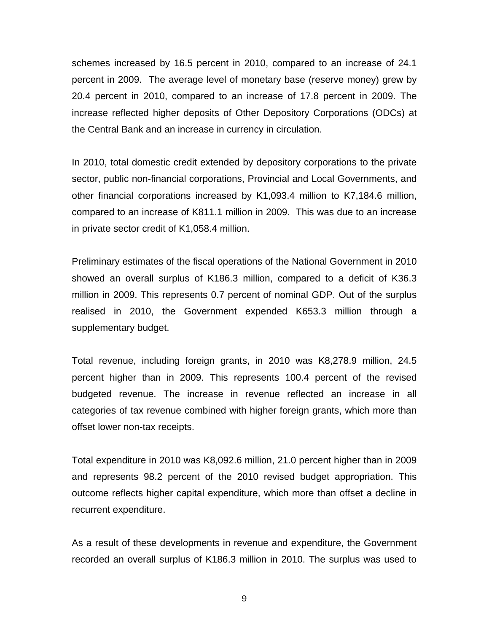schemes increased by 16.5 percent in 2010, compared to an increase of 24.1 percent in 2009. The average level of monetary base (reserve money) grew by 20.4 percent in 2010, compared to an increase of 17.8 percent in 2009. The increase reflected higher deposits of Other Depository Corporations (ODCs) at the Central Bank and an increase in currency in circulation.

In 2010, total domestic credit extended by depository corporations to the private sector, public non-financial corporations, Provincial and Local Governments, and other financial corporations increased by K1,093.4 million to K7,184.6 million, compared to an increase of K811.1 million in 2009. This was due to an increase in private sector credit of K1,058.4 million.

Preliminary estimates of the fiscal operations of the National Government in 2010 showed an overall surplus of K186.3 million, compared to a deficit of K36.3 million in 2009. This represents 0.7 percent of nominal GDP. Out of the surplus realised in 2010, the Government expended K653.3 million through a supplementary budget.

Total revenue, including foreign grants, in 2010 was K8,278.9 million, 24.5 percent higher than in 2009. This represents 100.4 percent of the revised budgeted revenue. The increase in revenue reflected an increase in all categories of tax revenue combined with higher foreign grants, which more than offset lower non-tax receipts.

Total expenditure in 2010 was K8,092.6 million, 21.0 percent higher than in 2009 and represents 98.2 percent of the 2010 revised budget appropriation. This outcome reflects higher capital expenditure, which more than offset a decline in recurrent expenditure.

As a result of these developments in revenue and expenditure, the Government recorded an overall surplus of K186.3 million in 2010. The surplus was used to